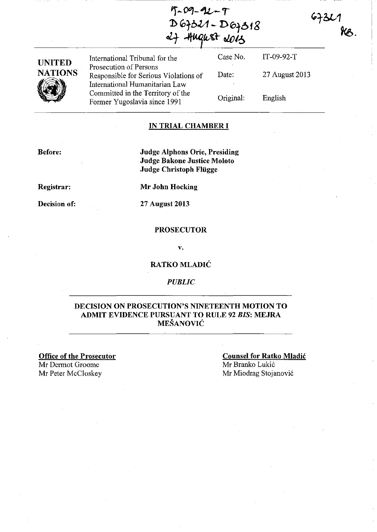$T - 09 - 92 - T$ D 67321 - D 67318  $\alpha$ <sup>+</sup>  $\beta$   $\alpha$   $\beta$   $\beta$ 

 $6731$ 

| <b>UNITED</b><br><b>NATIONS</b> | International Tribunal for the<br>Prosecution of Persons                | Case No.  | $IT-09-92-T$   |
|---------------------------------|-------------------------------------------------------------------------|-----------|----------------|
|                                 | Responsible for Serious Violations of<br>International Humanitarian Law | Date:     | 27 August 2013 |
|                                 | Committed in the Territory of the<br>Former Yugoslavia since 1991       | Original: | English        |

### IN TRIAL CHAMBER **I**

Before:

Judge Alphons Orie, Presiding Judge Bakone Justice Moloto Judge Christoph Fliigge

Registrar:

Mr John Hocking

Decision of:

27 August 2013

### PROSECUTOR

V.

### RATKO MLADIĆ

#### *PUBLIC*

### DECISION ON PROSECUTION'S NINETEENTH MOTION TO ADMIT EVIDENCE PURSUANT TO RULE 92 *BIS:* MEJRA MEŠANOVIĆ

Office of the Prosecutor Mr Dermot Groome Mr Peter McCloskey

Counsel for Ratko Mladić Mr Branko Lukić Mr Miodrag Stojanović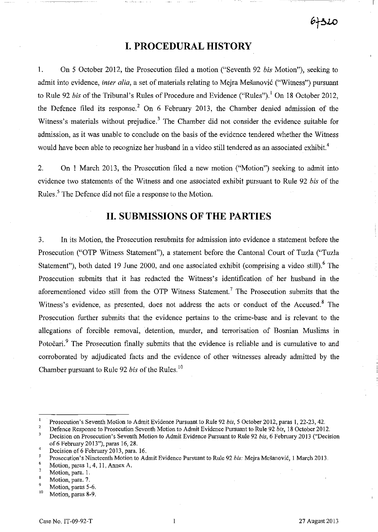# **I. PROCEDURAL HISTORY**

1. On 5 October 2012, the Prosecution filed a motion ("Seventh 92 *bis* Motion"), seeking to admit into evidence, *inter alia,* a set of materials relating to Mejra Mešanović ("Witness") pursuant to Rule 92 *bis* of the Tribunal's Rules of Procedure and Evidence ("Rules").<sup>1</sup> On 18 October 2012, the Defence filed its response.<sup>2</sup> On 6 February 2013, the Chamber denied admission of the Witness's materials without prejudice.<sup>3</sup> The Chamber did not consider the evidence suitable for admission, as it was unable to conclude on the basis of the evidence tendered whether the Witness would have been able to recognize her husband in a video still tendered as an associated exhibit.<sup>4</sup>

2. On 1 March 2013, the Prosecution filed a new motion ("Motion") seeking to admit into evidence two statements of the Witness and one associated exhibit pursuant to Rule 92 *bis* of the Rules.<sup>5</sup> The Defence did not file a response to the Motion.

## **II. SUBMISSIONS OF THE PARTIES**

3. In its Motion, the Prosecution resubmits for admission into evidence a statement before the Prosecution ("OTP Witness Statement"), a statement before the Cantonal Court of Tuzla ("Tuzla Statement"), both dated 19 June 2000, and one associated exhibit (comprising a video still).<sup>6</sup> The Prosecution submits that it has redacted the Witness's identification of her husband in the aforementioned video still from the OTP Witness Statement? The Prosecution submits that the Witness's evidence, as presented, does not address the acts or conduct of the Accused.<sup>8</sup> The Prosecution further submits that the evidence pertains to the crime-base and is relevant to the allegations of forcible removal, detention, murder, and terrorisation of Bosnian Muslims in Potočari.<sup>9</sup> The Prosecution finally submits that the evidence is reliable and is cumulative to and corroborated by adjudicated facts and the evidence of other witnesses already admitted by the Chamber pursuant to Rule 92 *bis* of the Rules. IO

 $\mathbf{1}$ Prosecution's Seventh Motion to Admit Evidence Pursuant to Rule 92 *bis*, 5 October 2012, paras 1, 22-23, 42.

<sup>2</sup>  Defence Response to Prosecution Seventh Motion to Admit Evidence Pursuant to Rule 92 *bis,* 18 October 2012.

 $\overline{\mathbf{3}}$ Decision on Prosecution's Seventh Motion to Admit Evidence Pursuant to Rule 92 *bis*, 6 February 2013 ("Decision of 6 February 2013"), paras 16,28.

<sup>4</sup>  Decision of 6 February 2013, para. 16.

<sup>5</sup> Prosecution' s Nineteenth Motion to Admit Evidence Pursuant to Rule 92 *bis:* Mejra Mešanović, l March 2013.

<sup>6</sup> Motion, paras 1, 4, 11, Annex A.

<sup>7</sup> Motion, para. 1.

<sup>8</sup> Motion, para. 7.

 $^{9}$  Motion, paras 5-6.

Motion, paras 8-9.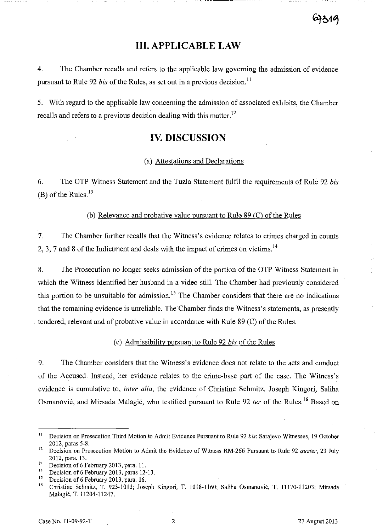# **III. APPLICABLE LAW**

4. The Chamber recalis and refers to the applicable law governing the admission of evidence pursuant to Rule 92 *bis* of the Rules, as set out in a previous decision. ll

5. With regard to the applicable law concerning the admission of associated exhibits, the Chamber recalls and refers to a previous decision dealing with this matter.<sup>12</sup>

### **IV. DISCUSSION**

### (a) Attestations and Declarations

6. The aTP Witness Statement and the Tuzla Statement fulfil the requirements of Rule 92 *bis*  (B) of the Rules. $^{13}$ 

(b) Relevance and probative value pursuant to Rule 89 (C) of the Rules

7. The Chamber further recalls that the Witness' s evidence relates to crimes charged in counts 2, 3, 7 and 8 of the Indictment and deals with the impact of crimes on victims.<sup>14</sup>

8. The Prosecution no longer seeks admission of the portion of the OTP Witness Statement in which the Witness identified her husband in a video still. The Chamber had previously considered this portion to be unsuitable for admission.<sup>15</sup> The Chamber considers that there are no indications that the remaining evidence is unreliable. The Chamber finds the Witness's statements, as presently . tendered, relevant and of probative value in accordance with Rule 89 (C) of the Rules.

### (c) Admissibility pursuant to Rule 92 *bis* of the Rules

9. The Chamber considers that the Witness's evidence does not relate to the acts and conduct of the Accused. Instead, her evidence relates to the crime-base part of the case. The Witness's evidence is cumulative to, *inter alia,* the evidence of Christine Schmitz, Joseph Kingori, Saliha Osmanović, and Mirsada Malagić, who testified pursuant to Rule 92 *ter* of the Rules. 16 Based on

<sup>&</sup>lt;sup>11</sup> Decision on Prosecution Third Motion to Admit Evidence Pursuant to Rule 92 *bis*: Sarajevo Witnesses, 19 October 2012, paras 5-8.

<sup>&</sup>lt;sup>12</sup> Decision on Prosecution Motion to Admit the Evidence of Witness RM-266 Pursuant to Rule 92 *quater*, 23 July 2012, para. 13.

<sup>&</sup>lt;sup>13</sup> Decision of 6 February 2013, para. 11.<br><sup>14</sup> Decision of 6 February 2012, page 12.

<sup>&</sup>lt;sup>14</sup> Decision of 6 February 2013, paras 12-13.<br><sup>15</sup> Decision of 6 February 2013, para 16

<sup>&</sup>lt;sup>15</sup> Decision of 6 February 2013, para. 16.<br><sup>16</sup> Christine Sebmitz, T. 023, 1013; Jose

<sup>16</sup> Christine Schrnitz, T. 923-1013; Joseph Kingori, T. 1018-1160; Saliba Osmanović, T. 11170-11203; Mirsada Malagić, T. 11204-11247.